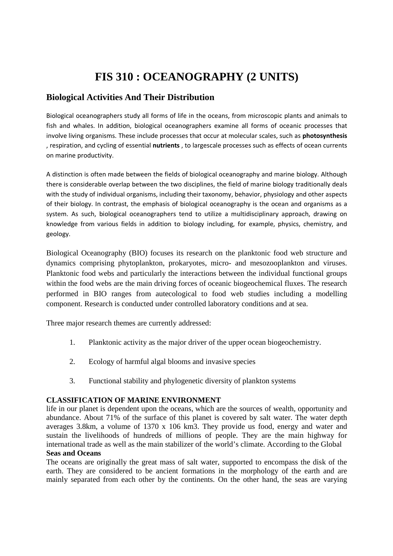# **FIS 310 : OCEANOGRAPHY (2 UNITS)**

## **Biological Activities And Their Distribution**

Biological oceanographers study all forms of life in the oceans, from microscopic plants and animals to fish and whales. In addition, biological oceanographers examine all forms of oceanic processes that involve living organisms. These include processes that occur at molecular scales, such as **photosynthesis**  , respiration, and cycling of essential **nutrients** , to largescale processes such as effects of ocean currents on marine productivity.

A distinction is often made between the fields of biological oceanography and marine biology. Although there is considerable overlap between the two disciplines, the field of marine biology traditionally deals with the study of individual organisms, including their taxonomy, behavior, physiology and other aspects of their biology. In contrast, the emphasis of biological oceanography is the ocean and organisms as a system. As such, biological oceanographers tend to utilize a multidisciplinary approach, drawing on knowledge from various fields in addition to biology including, for example, physics, chemistry, and geology.

Biological Oceanography (BIO) focuses its research on the planktonic food web structure and dynamics comprising phytoplankton, prokaryotes, micro- and mesozooplankton and viruses. Planktonic food webs and particularly the interactions between the individual functional groups within the food webs are the main driving forces of oceanic biogeochemical fluxes. The research performed in BIO ranges from autecological to food web studies including a modelling component. Research is conducted under controlled laboratory conditions and at sea.

Three major research themes are currently addressed:

- 1. Planktonic activity as the major driver of the upper ocean biogeochemistry.
- 2. Ecology of harmful algal blooms and invasive species
- 3. Functional stability and phylogenetic diversity of plankton systems

## **CLASSIFICATION OF MARINE ENVIRONMENT**

life in our planet is dependent upon the oceans, which are the sources of wealth, opportunity and abundance. About 71% of the surface of this planet is covered by salt water. The water depth averages 3.8km, a volume of 1370 x 106 km3. They provide us food, energy and water and sustain the livelihoods of hundreds of millions of people. They are the main highway for international trade as well as the main stabilizer of the world's climate. According to the Global **Seas and Oceans** 

The oceans are originally the great mass of salt water, supported to encompass the disk of the earth. They are considered to be ancient formations in the morphology of the earth and are mainly separated from each other by the continents. On the other hand, the seas are varying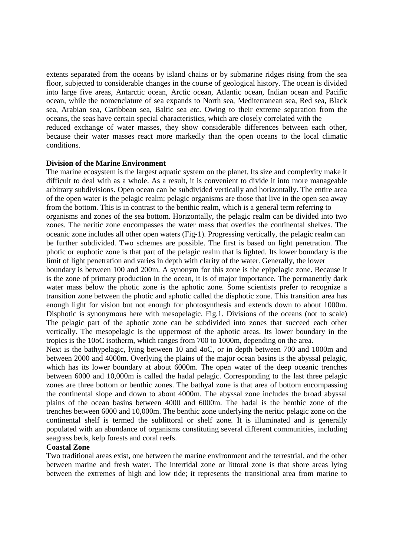extents separated from the oceans by island chains or by submarine ridges rising from the sea floor, subjected to considerable changes in the course of geological history. The ocean is divided into large five areas, Antarctic ocean, Arctic ocean, Atlantic ocean, Indian ocean and Pacific ocean, while the nomenclature of sea expands to North sea, Mediterranean sea, Red sea, Black sea, Arabian sea, Caribbean sea, Baltic sea *etc*. Owing to their extreme separation from the oceans, the seas have certain special characteristics, which are closely correlated with the reduced exchange of water masses, they show considerable differences between each other, because their water masses react more markedly than the open oceans to the local climatic conditions.

#### **Division of the Marine Environment**

The marine ecosystem is the largest aquatic system on the planet. Its size and complexity make it difficult to deal with as a whole. As a result, it is convenient to divide it into more manageable arbitrary subdivisions. Open ocean can be subdivided vertically and horizontally. The entire area of the open water is the pelagic realm; pelagic organisms are those that live in the open sea away from the bottom. This is in contrast to the benthic realm, which is a general term referring to organisms and zones of the sea bottom. Horizontally, the pelagic realm can be divided into two zones. The neritic zone encompasses the water mass that overlies the continental shelves. The oceanic zone includes all other open waters (Fig‐1). Progressing vertically, the pelagic realm can be further subdivided. Two schemes are possible. The first is based on light penetration. The photic or euphotic zone is that part of the pelagic realm that is lighted. Its lower boundary is the limit of light penetration and varies in depth with clarity of the water. Generally, the lower

boundary is between 100 and 200m. A synonym for this zone is the epipelagic zone. Because it is the zone of primary production in the ocean, it is of major importance. The permanently dark water mass below the photic zone is the aphotic zone. Some scientists prefer to recognize a transition zone between the photic and aphotic called the disphotic zone. This transition area has enough light for vision but not enough for photosynthesis and extends down to about 1000m. Disphotic is synonymous here with mesopelagic. Fig.1. Divisions of the oceans (not to scale) The pelagic part of the aphotic zone can be subdivided into zones that succeed each other vertically. The mesopelagic is the uppermost of the aphotic areas. Its lower boundary in the tropics is the 10oC isotherm, which ranges from 700 to 1000m, depending on the area.

Next is the bathypelagic, lying between 10 and 4oC, or in depth between 700 and 1000m and between 2000 and 4000m. Overlying the plains of the major ocean basins is the abyssal pelagic, which has its lower boundary at about 6000m. The open water of the deep oceanic trenches between 6000 and 10,000m is called the hadal pelagic. Corresponding to the last three pelagic zones are three bottom or benthic zones. The bathyal zone is that area of bottom encompassing the continental slope and down to about 4000m. The abyssal zone includes the broad abyssal plains of the ocean basins between 4000 and 6000m. The hadal is the benthic zone of the trenches between 6000 and 10,000m. The benthic zone underlying the neritic pelagic zone on the continental shelf is termed the sublittoral or shelf zone. It is illuminated and is generally populated with an abundance of organisms constituting several different communities, including seagrass beds, kelp forests and coral reefs.

#### **Coastal Zone**

Two traditional areas exist, one between the marine environment and the terrestrial, and the other between marine and fresh water. The intertidal zone or littoral zone is that shore areas lying between the extremes of high and low tide; it represents the transitional area from marine to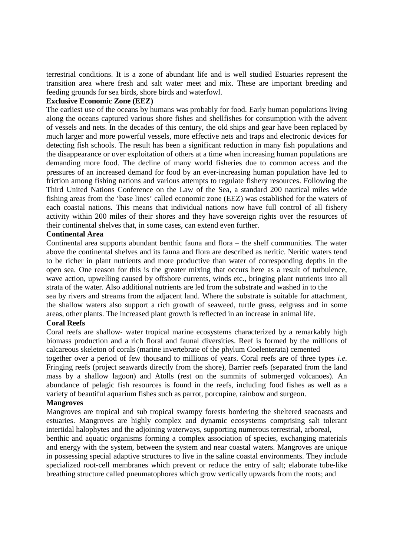terrestrial conditions. It is a zone of abundant life and is well studied Estuaries represent the transition area where fresh and salt water meet and mix. These are important breeding and feeding grounds for sea birds, shore birds and waterfowl.

## **Exclusive Economic Zone (EEZ)**

The earliest use of the oceans by humans was probably for food. Early human populations living along the oceans captured various shore fishes and shellfishes for consumption with the advent of vessels and nets. In the decades of this century, the old ships and gear have been replaced by much larger and more powerful vessels, more effective nets and traps and electronic devices for detecting fish schools. The result has been a significant reduction in many fish populations and the disappearance or over exploitation of others at a time when increasing human populations are demanding more food. The decline of many world fisheries due to common access and the pressures of an increased demand for food by an ever-increasing human population have led to friction among fishing nations and various attempts to regulate fishery resources. Following the Third United Nations Conference on the Law of the Sea, a standard 200 nautical miles wide fishing areas from the 'base lines' called economic zone (EEZ) was established for the waters of each coastal nations. This means that individual nations now have full control of all fishery activity within 200 miles of their shores and they have sovereign rights over the resources of their continental shelves that, in some cases, can extend even further.

## **Continental Area**

Continental area supports abundant benthic fauna and flora – the shelf communities. The water above the continental shelves and its fauna and flora are described as neritic. Neritic waters tend to be richer in plant nutrients and more productive than water of corresponding depths in the open sea. One reason for this is the greater mixing that occurs here as a result of turbulence, wave action, upwelling caused by offshore currents, winds etc., bringing plant nutrients into all strata of the water. Also additional nutrients are led from the substrate and washed in to the

sea by rivers and streams from the adjacent land. Where the substrate is suitable for attachment, the shallow waters also support a rich growth of seaweed, turtle grass, eelgrass and in some areas, other plants. The increased plant growth is reflected in an increase in animal life.

## **Coral Reefs**

Coral reefs are shallow‐ water tropical marine ecosystems characterized by a remarkably high biomass production and a rich floral and faunal diversities. Reef is formed by the millions of calcareous skeleton of corals (marine invertebrate of the phylum Coelenterata) cemented

together over a period of few thousand to millions of years. Coral reefs are of three types *i.e*. Fringing reefs (project seawards directly from the shore), Barrier reefs (separated from the land mass by a shallow lagoon) and Atolls (rest on the summits of submerged volcanoes). An abundance of pelagic fish resources is found in the reefs, including food fishes as well as a variety of beautiful aquarium fishes such as parrot, porcupine, rainbow and surgeon.

## **Mangroves**

Mangroves are tropical and sub tropical swampy forests bordering the sheltered seacoasts and estuaries. Mangroves are highly complex and dynamic ecosystems comprising salt tolerant intertidal halophytes and the adjoining waterways, supporting numerous terrestrial, arboreal,

benthic and aquatic organisms forming a complex association of species, exchanging materials and energy with the system, between the system and near coastal waters. Mangroves are unique in possessing special adaptive structures to live in the saline coastal environments. They include specialized root-cell membranes which prevent or reduce the entry of salt; elaborate tube-like breathing structure called pneumatophores which grow vertically upwards from the roots; and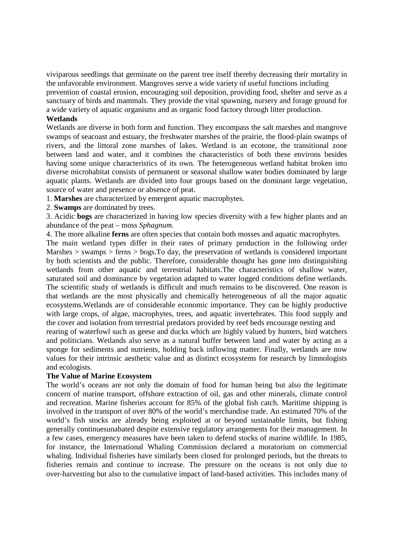viviparous seedlings that germinate on the parent tree itself thereby decreasing their mortality in the unfavorable environment. Mangroves serve a wide variety of useful functions including prevention of coastal erosion, encouraging soil deposition, providing food, shelter and serve as a sanctuary of birds and mammals. They provide the vital spawning, nursery and forage ground for a wide variety of aquatic organisms and as organic food factory through litter production.

## **Wetlands**

Wetlands are diverse in both form and function. They encompass the salt marshes and mangrove swamps of seacoast and estuary, the freshwater marshes of the prairie, the flood‐plain swamps of rivers, and the littoral zone marshes of lakes. Wetland is an ecotone, the transitional zone between land and water, and it combines the characteristics of both these environs besides having some unique characteristics of its own. The heterogeneous wetland habitat broken into diverse microhabitat consists of permanent or seasonal shallow water bodies dominated by large aquatic plants. Wetlands are divided into four groups based on the dominant large vegetation, source of water and presence or absence of peat.

1. **Marshes** are characterized by emergent aquatic macrophytes.

2. **Swamps** are dominated by trees.

3. Acidic **bogs** are characterized in having low species diversity with a few higher plants and an abundance of the peat – moss *Sphagnum*.

4. The more alkaline **ferns** are often species that contain both mosses and aquatic macrophytes.

The main wetland types differ in their rates of primary production in the following order Marshes > swamps > ferns > bogs. To day, the preservation of wetlands is considered important by both scientists and the public. Therefore, considerable thought has gone into distinguishing wetlands from other aquatic and terrestrial habitats.The characteristics of shallow water, saturated soil and dominance by vegetation adapted to water logged conditions define wetlands. The scientific study of wetlands is difficult and much remains to be discovered. One reason is that wetlands are the most physically and chemically heterogeneous of all the major aquatic ecosystems.Wetlands are of considerable economic importance. They can be highly productive with large crops, of algae, macrophytes, trees, and aquatic invertebrates. This food supply and the cover and isolation from terrestrial predators provided by reef beds encourage nesting and

rearing of waterfowl such as geese and ducks which are highly valued by hunters, bird watchers and politicians. Wetlands also serve as a natural buffer between land and water by acting as a sponge for sediments and nutrients, holding back inflowing matter. Finally, wetlands are now values for their intrinsic aesthetic value and as distinct ecosystems for research by limnologists and ecologists.

## **The Value of Marine Ecosystem**

The world's oceans are not only the domain of food for human being but also the legitimate concern of marine transport, offshore extraction of oil, gas and other minerals, climate control and recreation. Marine fisheries account for 85% of the global fish catch. Maritime shipping is involved in the transport of over 80% of the world's merchandise trade. An estimated 70% of the world's fish stocks are already being exploited at or beyond sustainable limits, but fishing generally continuesunabated despite extensive regulatory arrangements for their management. In a few cases, emergency measures have been taken to defend stocks of marine wildlife. In 1985, for instance, the International Whaling Commission declared a moratorium on commercial whaling. Individual fisheries have similarly been closed for prolonged periods, but the threats to fisheries remain and continue to increase. The pressure on the oceans is not only due to over‐harvesting but also to the cumulative impact of land‐based activities. This includes many of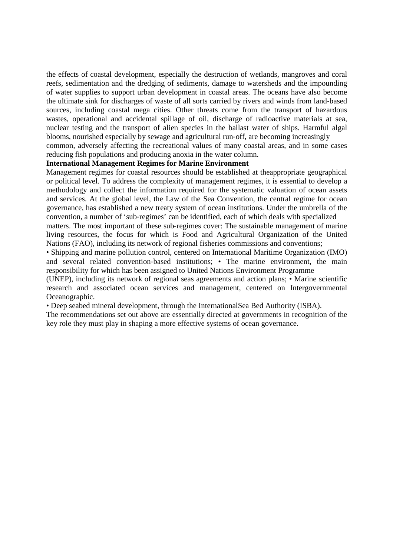the effects of coastal development, especially the destruction of wetlands, mangroves and coral reefs, sedimentation and the dredging of sediments, damage to watersheds and the impounding of water supplies to support urban development in coastal areas. The oceans have also become the ultimate sink for discharges of waste of all sorts carried by rivers and winds from land‐based sources, including coastal mega cities. Other threats come from the transport of hazardous wastes, operational and accidental spillage of oil, discharge of radioactive materials at sea, nuclear testing and the transport of alien species in the ballast water of ships. Harmful algal blooms, nourished especially by sewage and agricultural run‐off, are becoming increasingly

common, adversely affecting the recreational values of many coastal areas, and in some cases reducing fish populations and producing anoxia in the water column.

## **International Management Regimes for Marine Environment**

Management regimes for coastal resources should be established at theappropriate geographical or political level. To address the complexity of management regimes, it is essential to develop a methodology and collect the information required for the systematic valuation of ocean assets and services. At the global level, the Law of the Sea Convention, the central regime for ocean governance, has established a new treaty system of ocean institutions. Under the umbrella of the convention, a number of 'sub‐regimes' can be identified, each of which deals with specialized

matters. The most important of these sub-regimes cover: The sustainable management of marine living resources, the focus for which is Food and Agricultural Organization of the United Nations (FAO), including its network of regional fisheries commissions and conventions;

• Shipping and marine pollution control, centered on International Maritime Organization (IMO) and several related convention-based institutions; • The marine environment, the main responsibility for which has been assigned to United Nations Environment Programme

(UNEP), including its network of regional seas agreements and action plans; • Marine scientific research and associated ocean services and management, centered on Intergovernmental Oceanographic.

• Deep seabed mineral development, through the InternationalSea Bed Authority (ISBA).

The recommendations set out above are essentially directed at governments in recognition of the key role they must play in shaping a more effective systems of ocean governance.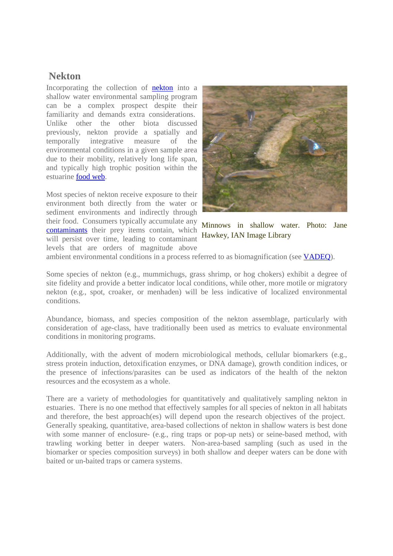## **Nekton**

Incorporating the collection of nekton into a shallow water environmental sampling program can be a complex prospect despite their familiarity and demands extra considerations. Unlike other the other biota discussed previously, nekton provide a spatially and temporally integrative measure of the environmental conditions in a given sample area due to their mobility, relatively long life span, and typically high trophic position within the estuarine food web.

Most species of nekton receive exposure to their environment both directly from the water or sediment environments and indirectly through their food. Consumers typically accumulate any contaminants their prey items contain, which will persist over time, leading to contaminant levels that are orders of magnitude above



Minnows in shallow water. Photo: Jane Hawkey, IAN Image Library

ambient environmental conditions in a process referred to as biomagnification (see VADEQ).

Some species of nekton (e.g., mummichugs, grass shrimp, or hog chokers) exhibit a degree of site fidelity and provide a better indicator local conditions, while other, more motile or migratory nekton (e.g., spot, croaker, or menhaden) will be less indicative of localized environmental conditions.

Abundance, biomass, and species composition of the nekton assemblage, particularly with consideration of age-class, have traditionally been used as metrics to evaluate environmental conditions in monitoring programs.

Additionally, with the advent of modern microbiological methods, cellular biomarkers (e.g., stress protein induction, detoxification enzymes, or DNA damage), growth condition indices, or the presence of infections/parasites can be used as indicators of the health of the nekton resources and the ecosystem as a whole.

There are a variety of methodologies for quantitatively and qualitatively sampling nekton in estuaries. There is no one method that effectively samples for all species of nekton in all habitats and therefore, the best approach(es) will depend upon the research objectives of the project. Generally speaking, quantitative, area-based collections of nekton in shallow waters is best done with some manner of enclosure- (e.g., ring traps or pop-up nets) or seine-based method, with trawling working better in deeper waters. Non-area-based sampling (such as used in the biomarker or species composition surveys) in both shallow and deeper waters can be done with baited or un-baited traps or camera systems.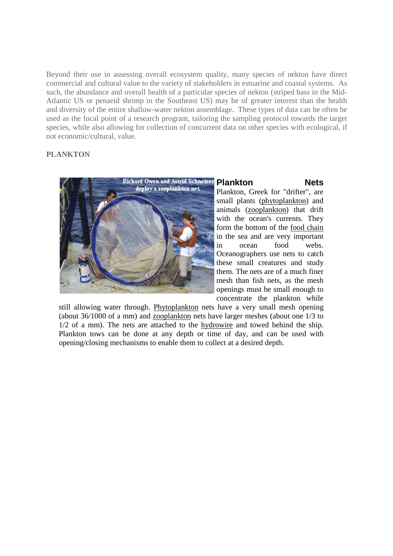Beyond their use in assessing overall ecosystem quality, many species of nekton have direct commercial and cultural value to the variety of stakeholders in estuarine and coastal systems. As such, the abundance and overall health of a particular species of nekton (striped bass in the Mid-Atlantic US or penaeid shrimp in the Southeast US) may be of greater interest than the health and diversity of the entire shallow-water nekton assemblage. These types of data can be often be used as the focal point of a research program, tailoring the sampling protocol towards the target species, while also allowing for collection of concurrent data on other species with ecological, if not economic/cultural, value.

## **PLANKTON**



## **Plankton Nets**

Plankton, Greek for "drifter", are small plants (phytoplankton) and animals (zooplankton) that drift with the ocean's currents. They form the bottom of the food chain in the sea and are very important in ocean food webs. Oceanographers use nets to catch these small creatures and study them. The nets are of a much finer mesh than fish nets, as the mesh openings must be small enough to concentrate the plankton while

still allowing water through. Phytoplankton nets have a very small mesh opening (about 36/1000 of a mm) and zooplankton nets have larger meshes (about one 1/3 to 1/2 of a mm). The nets are attached to the hydrowire and towed behind the ship. Plankton tows can be done at any depth or time of day, and can be used with opening/closing mechanisms to enable them to collect at a desired depth.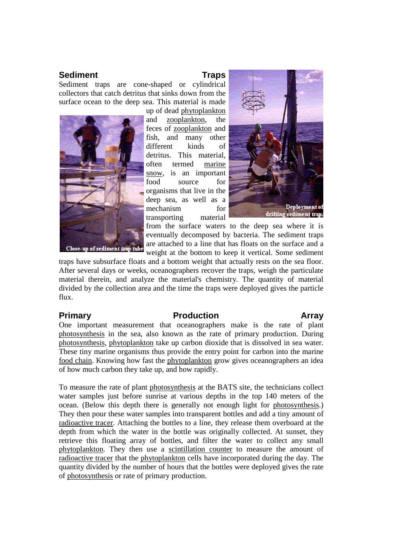## **Sediment** Traps

Sediment traps are cone-shaped or cylindrical collectors that catch detritus that sinks down from the surface ocean to the deep sea. This material is made



up of dead phytoplankton and zooplankton, the feces of zooplankton and fish, and many other different kinds of detritus. This material, often termed marine snow, is an important food source for organisms that live in the deep sea, as well as a mechanism for transporting material



from the surface waters to the deep sea where it is eventually decomposed by bacteria. The sediment traps are attached to a line that has floats on the surface and a weight at the bottom to keep it vertical. Some sediment

traps have subsurface floats and a bottom weight that actually rests on the sea floor. After several days or weeks, oceanographers recover the traps, weigh the particulate material therein, and analyze the material's chemistry. The quantity of material divided by the collection area and the time the traps were deployed gives the particle flux.

## **Primary Production Array**

One important measurement that oceanographers make is the rate of plant photosynthesis in the sea, also known as the rate of primary production. During photosynthesis, phytoplankton take up carbon dioxide that is dissolved in sea water. These tiny marine organisms thus provide the entry point for carbon into the marine food chain. Knowing how fast the phytoplankton grow gives oceanographers an idea of how much carbon they take up, and how rapidly.

To measure the rate of plant photosynthesis at the BATS site, the technicians collect water samples just before sunrise at various depths in the top 140 meters of the ocean. (Below this depth there is generally not enough light for photosynthesis.) They then pour these water samples into transparent bottles and add a tiny amount of radioactive tracer. Attaching the bottles to a line, they release them overboard at the depth from which the water in the bottle was originally collected. At sunset, they retrieve this floating array of bottles, and filter the water to collect any small phytoplankton. They then use a scintillation counter to measure the amount of radioactive tracer that the phytoplankton cells have incorporated during the day. The quantity divided by the number of hours that the bottles were deployed gives the rate of photosynthesis or rate of primary production.